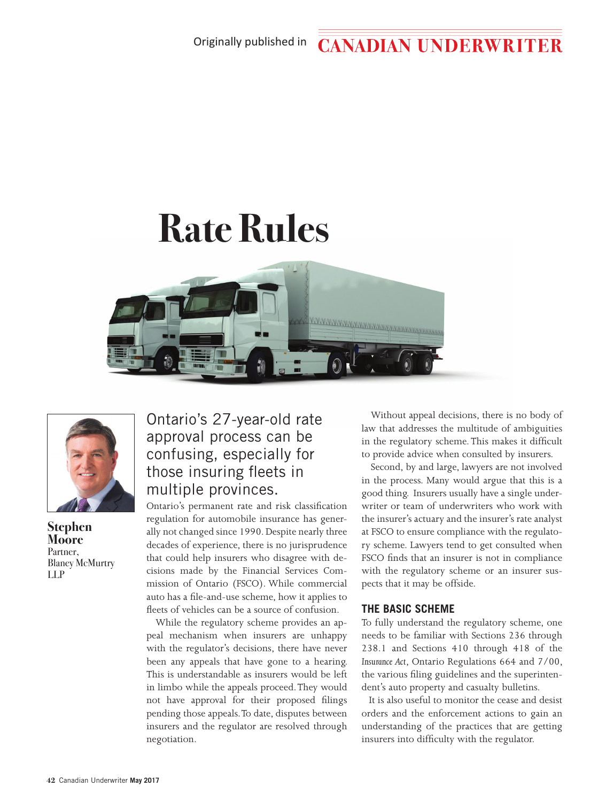#### Originally published in**CANADIAN UNDERWRITER**

# **Rate Rules**





**Stephen Moore**  Partner, Blaney McMurtry LLP

## Ontario's 27-year-old rate approval process can be confusing, especially for those insuring fleets in multiple provinces.

Ontario's permanent rate and risk classification regulation for automobile insurance has generally not changed since 1990. Despite nearly three decades of experience, there is no jurisprudence that could help insurers who disagree with decisions made by the Financial Services Commission of Ontario (FSCO). While commercial auto has a file-and-use scheme, how it applies to fleets of vehicles can be a source of confusion.

While the regulatory scheme provides an appeal mechanism when insurers are unhappy with the regulator's decisions, there have never been any appeals that have gone to a hearing. This is understandable as insurers would be left in limbo while the appeals proceed. They would not have approval for their proposed filings pending those appeals. To date, disputes between insurers and the regulator are resolved through negotiation.

Without appeal decisions, there is no body of law that addresses the multitude of ambiguities in the regulatory scheme. This makes it difficult to provide advice when consulted by insurers.

Second, by and large, lawyers are not involved in the process. Many would argue that this is a good thing. Insurers usually have a single underwriter or team of underwriters who work with the insurer's actuary and the insurer's rate analyst at FSCO to ensure compliance with the regulatory scheme. Lawyers tend to get consulted when FSCO finds that an insurer is not in compliance with the regulatory scheme or an insurer suspects that it may be offside.

### **THE BASIC SCHEME**

To fully understand the regulatory scheme, one needs to be familiar with Sections 236 through 238.1 and Sections 410 through 418 of the *Insurance Act*, Ontario Regulations 664 and 7/00, the various filing guidelines and the superintendent's auto property and casualty bulletins.

It is also useful to monitor the cease and desist orders and the enforcement actions to gain an understanding of the practices that are getting insurers into difficulty with the regulator.